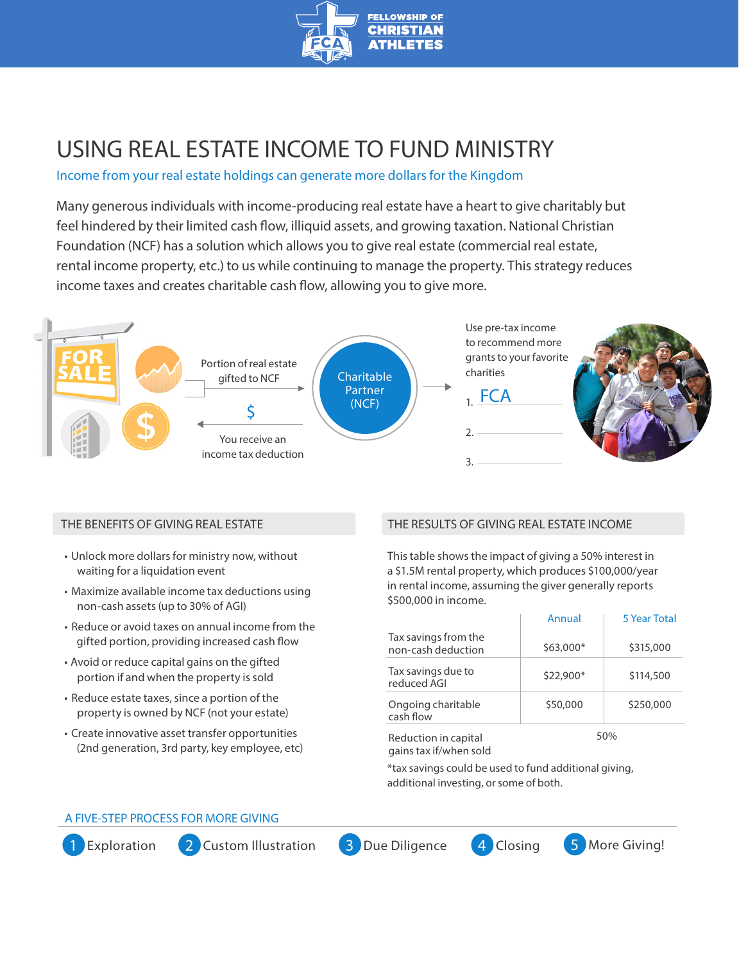

# USING REAL ESTATE INCOME TO FUND MINISTRY

## Income from your real estate holdings can generate more dollars for the Kingdom

Many generous individuals with income-producing real estate have a heart to give charitably but feel hindered by their limited cash flow, illiquid assets, and growing taxation. National Christian Foundation (NCF) has a solution which allows you to give real estate (commercial real estate, rental income property, etc.) to us while continuing to manage the property. This strategy reduces income taxes and creates charitable cash flow, allowing you to give more.



## THE BENEFITS OF GIVING REAL ESTATE

- Unlock more dollars for ministry now, without waiting for a liquidation event
- Maximize available income tax deductions using non-cash assets (up to 30% of AGI)
- Reduce or avoid taxes on annual income from the gifted portion, providing increased cash flow
- Avoid or reduce capital gains on the gifted portion if and when the property is sold
- Reduce estate taxes, since a portion of the property is owned by NCF (not your estate)
- Create innovative asset transfer opportunities (2nd generation, 3rd party, key employee, etc)

## THE RESULTS OF GIVING REAL ESTATE INCOME

This table shows the impact of giving a 50% interest in a \$1.5M rental property, which produces \$100,000/year in rental income, assuming the giver generally reports \$500,000 in income.

|                                                | Annual    | <b>5 Year Total</b> |
|------------------------------------------------|-----------|---------------------|
| Tax savings from the<br>non-cash deduction     | \$63,000* | \$315,000           |
| Tax savings due to<br>reduced AGI              | \$22,900* | \$114,500           |
| Ongoing charitable<br>cash flow                | \$50,000  | \$250,000           |
| Reduction in capital<br>gains tax if/when sold |           | 50%                 |

\*tax savings could be used to fund additional giving, additional investing, or some of both.

## A FIVE-STEP PROCESS FOR MORE GIVING